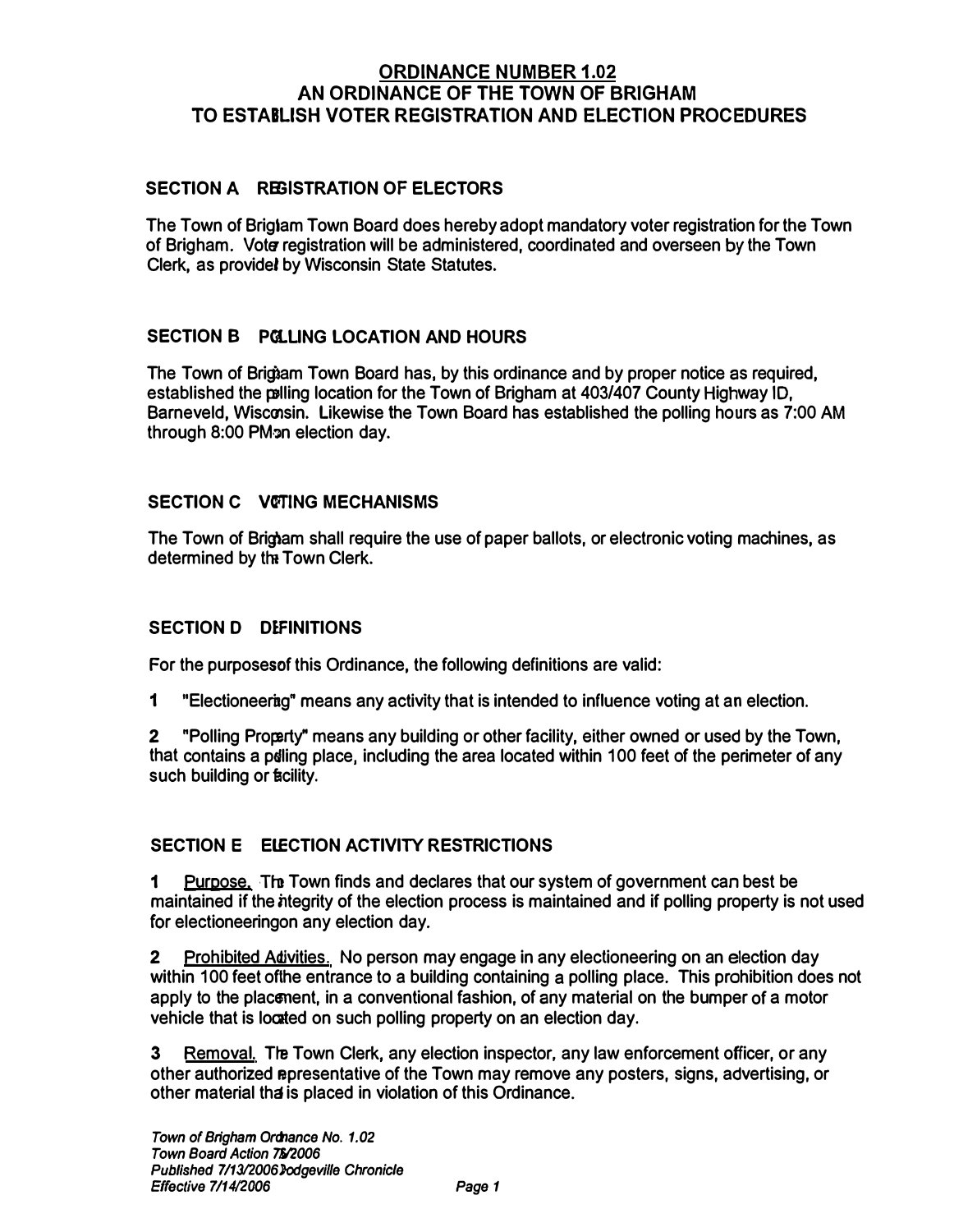### **ORDINANCE NUMBER 1.02 AN ORDINANCE OF THE TOWN OF BRIGHAM TO ESTABLISH VOTER REGISTRATION AND ELECTION PROCEDURES**

## **SECTION A REGISTRATION OF ELECTORS**

The Town of Briglam Town Board does hereby adopt mandatory voter registration for the Town of Brigham. Vote registration will be administered, coordinated and overseen by the Town Clerk, as providel by Wisconsin State Statutes.

# **SECTION B PGLLING LOCATION AND HOURS**

The Town of Brigiam Town Board has, by this ordinance and by proper notice as required, established the polling location for the Town of Brigham at 403/407 County Highway ID, Barneveld, Wisconsin. Likewise the Town Board has established the polling hours as 7:00 AM through 8:00 PM<sub>2</sub>n election day.

### **SECTION C VOTING MECHANISMS**

The Town of Brigham shall require the use of paper ballots, or electronic voting machines, as determined by the Town Clerk.

### **SECTION D DIFINITIONS**

For the purposesof this Ordinance, the following definitions are valid:

1 "Electioneering" means any activity that is intended to influence voting at an election.

2 "Polling Property" means any building or other facility, either owned or used by the Town, that contains a poling place, including the area located within 100 feet of the perimeter of any such building or facility.

### **SECTION E ElECTION ACTIVITY RESTRICTIONS**

Purpose. The Town finds and declares that our system of government can best be maintained if the htegrity of the election process is maintained and if polling property is not used for electioneeringon any election day.

2 Prohibited Adivities. No person may engage in any electioneering on an election day within 100 feet ofthe entrance to a building containing a polling place. This prohibition does not apply to the placenent, in a conventional fashion, of any material on the bumper of a motor vehicle that is located on such polling property on an election day.

3 Removal. The Town Clerk, any election inspector, any law enforcement officer, or any other authorized epresentative of the Town may remove any posters, signs, advertising, or other material tha is placed in violation of this Ordinance.